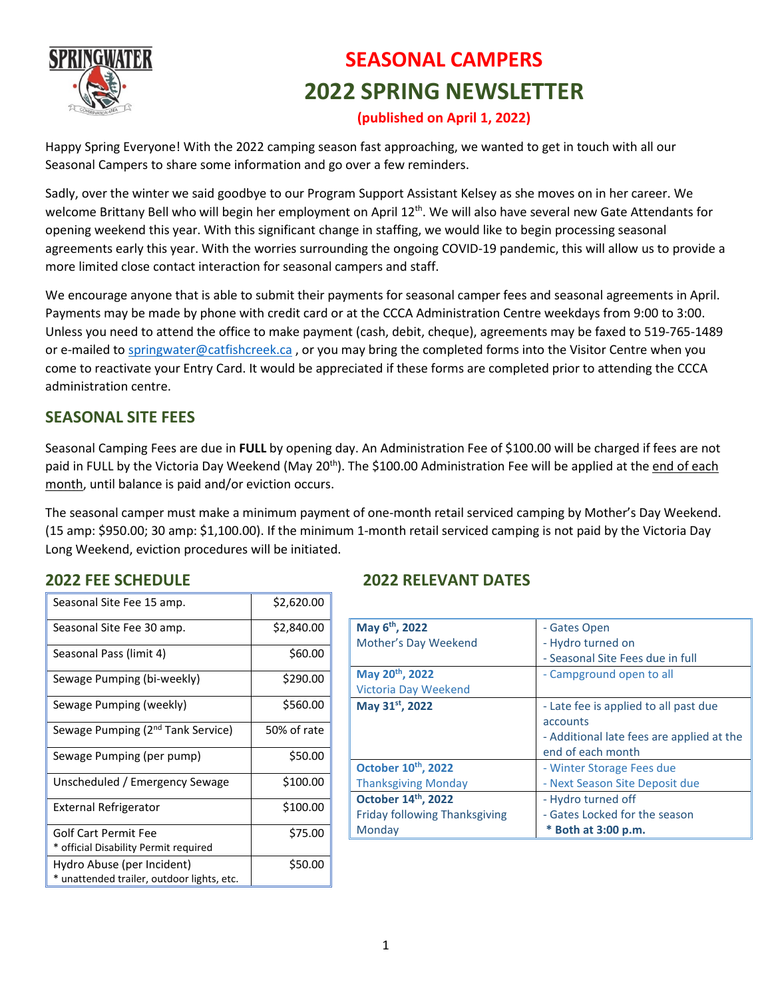

# **SEASONAL CAMPERS 2022 SPRING NEWSLETTER**

### **(published on April 1, 2022)**

Happy Spring Everyone! With the 2022 camping season fast approaching, we wanted to get in touch with all our Seasonal Campers to share some information and go over a few reminders.

Sadly, over the winter we said goodbye to our Program Support Assistant Kelsey as she moves on in her career. We welcome Brittany Bell who will begin her employment on April 12th. We will also have several new Gate Attendants for opening weekend this year. With this significant change in staffing, we would like to begin processing seasonal agreements early this year. With the worries surrounding the ongoing COVID-19 pandemic, this will allow us to provide a more limited close contact interaction for seasonal campers and staff.

We encourage anyone that is able to submit their payments for seasonal camper fees and seasonal agreements in April. Payments may be made by phone with credit card or at the CCCA Administration Centre weekdays from 9:00 to 3:00. Unless you need to attend the office to make payment (cash, debit, cheque), agreements may be faxed to 519-765-1489 or e-mailed to [springwater@catfishcreek.ca](mailto:springwater@catfishcreek.ca) , or you may bring the completed forms into the Visitor Centre when you come to reactivate your Entry Card. It would be appreciated if these forms are completed prior to attending the CCCA administration centre.

## **SEASONAL SITE FEES**

Seasonal Camping Fees are due in **FULL** by opening day. An Administration Fee of \$100.00 will be charged if fees are not paid in FULL by the Victoria Day Weekend (May 20<sup>th</sup>). The \$100.00 Administration Fee will be applied at the end of each month, until balance is paid and/or eviction occurs.

The seasonal camper must make a minimum payment of one-month retail serviced camping by Mother's Day Weekend. (15 amp: \$950.00; 30 amp: \$1,100.00). If the minimum 1-month retail serviced camping is not paid by the Victoria Day Long Weekend, eviction procedures will be initiated.

# **2022 FEE SCHEDULE 2022 RELEVANT DATES**

| May 6 <sup>th</sup> , 2022           | - Gates Open                              |  |  |
|--------------------------------------|-------------------------------------------|--|--|
| Mother's Day Weekend                 | - Hydro turned on                         |  |  |
|                                      | - Seasonal Site Fees due in full          |  |  |
| May 20 <sup>th</sup> , 2022          | - Campground open to all                  |  |  |
| <b>Victoria Day Weekend</b>          |                                           |  |  |
| May 31st, 2022                       | - Late fee is applied to all past due     |  |  |
|                                      | accounts                                  |  |  |
|                                      | - Additional late fees are applied at the |  |  |
|                                      | end of each month                         |  |  |
| October 10th, 2022                   | - Winter Storage Fees due                 |  |  |
| <b>Thanksgiving Monday</b>           | - Next Season Site Deposit due            |  |  |
| October 14th, 2022                   | - Hydro turned off                        |  |  |
| <b>Friday following Thanksgiving</b> | - Gates Locked for the season             |  |  |
| Monday                               | * Both at 3:00 p.m.                       |  |  |